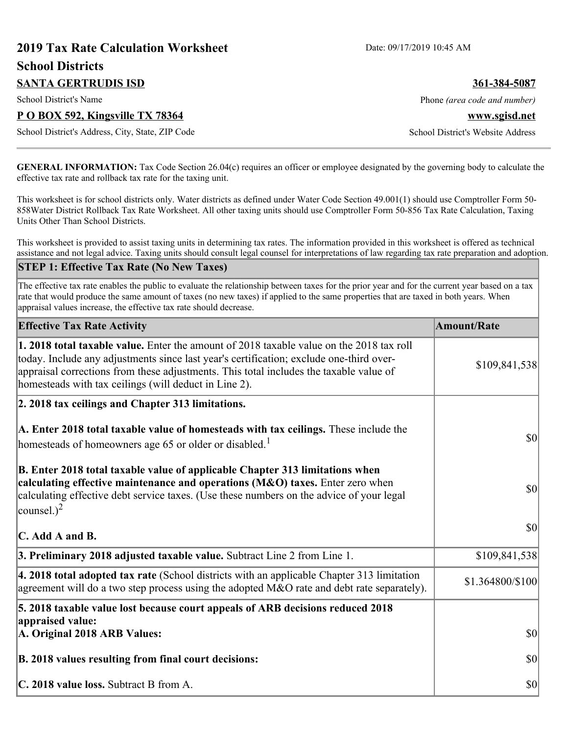# **2019 Tax Rate Calculation Worksheet** Date: 09/17/2019 10:45 AM **School Districts SANTA GERTRUDIS ISD 361-384-5087** School District's Name **Phone** *(area code and number)* Phone *(area code and number)* **P O BOX 592, Kingsville TX 78364 www.sgisd.net** School District's Address, City, State, ZIP Code School District's Website Address

**GENERAL INFORMATION:** Tax Code Section 26.04(c) requires an officer or employee designated by the governing body to calculate the effective tax rate and rollback tax rate for the taxing unit.

This worksheet is for school districts only. Water districts as defined under Water Code Section 49.001(1) should use Comptroller Form 50- 858Water District Rollback Tax Rate Worksheet. All other taxing units should use Comptroller Form 50-856 Tax Rate Calculation, Taxing Units Other Than School Districts.

This worksheet is provided to assist taxing units in determining tax rates. The information provided in this worksheet is offered as technical assistance and not legal advice. Taxing units should consult legal counsel for interpretations of law regarding tax rate preparation and adoption.

#### **STEP 1: Effective Tax Rate (No New Taxes)**

The effective tax rate enables the public to evaluate the relationship between taxes for the prior year and for the current year based on a tax rate that would produce the same amount of taxes (no new taxes) if applied to the same properties that are taxed in both years. When appraisal values increase, the effective tax rate should decrease.

| <b>Effective Tax Rate Activity</b>                                                                                                                                                                                                                                                                                                            | <b>Amount/Rate</b> |
|-----------------------------------------------------------------------------------------------------------------------------------------------------------------------------------------------------------------------------------------------------------------------------------------------------------------------------------------------|--------------------|
| <b>1. 2018 total taxable value.</b> Enter the amount of 2018 taxable value on the 2018 tax roll<br>today. Include any adjustments since last year's certification; exclude one-third over-<br>appraisal corrections from these adjustments. This total includes the taxable value of<br>homesteads with tax ceilings (will deduct in Line 2). | \$109,841,538      |
| 2. 2018 tax ceilings and Chapter 313 limitations.                                                                                                                                                                                                                                                                                             |                    |
| A. Enter 2018 total taxable value of homesteads with tax ceilings. These include the<br>homesteads of homeowners age 65 or older or disabled. <sup>1</sup>                                                                                                                                                                                    | \$0                |
| B. Enter 2018 total taxable value of applicable Chapter 313 limitations when<br>calculating effective maintenance and operations (M&O) taxes. Enter zero when<br>calculating effective debt service taxes. (Use these numbers on the advice of your legal<br>counsel.) <sup>2</sup>                                                           | \$0                |
| $\mathbf C$ . Add A and B.                                                                                                                                                                                                                                                                                                                    | \$0                |
| 3. Preliminary 2018 adjusted taxable value. Subtract Line 2 from Line 1.                                                                                                                                                                                                                                                                      | \$109,841,538      |
| 4. 2018 total adopted tax rate (School districts with an applicable Chapter 313 limitation<br>agreement will do a two step process using the adopted M&O rate and debt rate separately).                                                                                                                                                      | \$1.364800/\$100   |
| 5. 2018 taxable value lost because court appeals of ARB decisions reduced 2018                                                                                                                                                                                                                                                                |                    |
| appraised value:<br>A. Original 2018 ARB Values:                                                                                                                                                                                                                                                                                              | $ 10\rangle$       |
| B. 2018 values resulting from final court decisions:                                                                                                                                                                                                                                                                                          | \$0                |
| C. 2018 value loss. Subtract B from A.                                                                                                                                                                                                                                                                                                        | \$0                |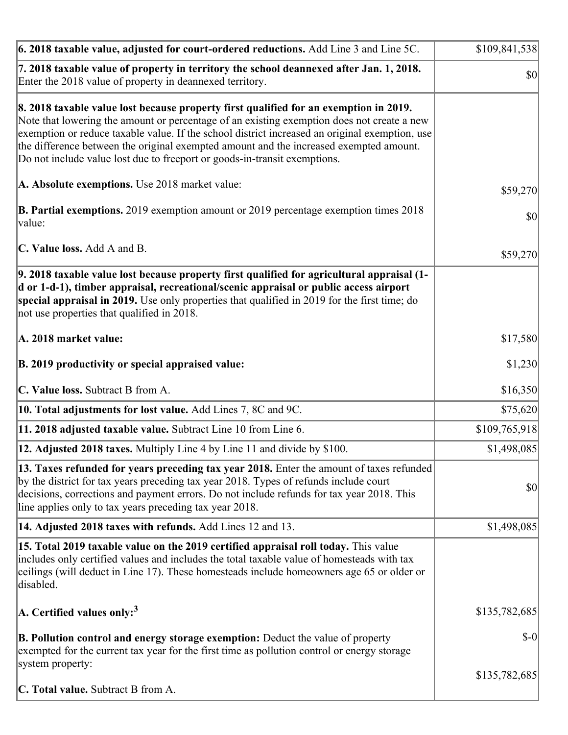| 6. 2018 taxable value, adjusted for court-ordered reductions. Add Line 3 and Line 5C.                                                                                                                                                                                                                                                                                                                                                                        | \$109,841,538 |
|--------------------------------------------------------------------------------------------------------------------------------------------------------------------------------------------------------------------------------------------------------------------------------------------------------------------------------------------------------------------------------------------------------------------------------------------------------------|---------------|
| 7. 2018 taxable value of property in territory the school deannexed after Jan. 1, 2018.<br>Enter the 2018 value of property in deannexed territory.                                                                                                                                                                                                                                                                                                          | \$0           |
| 8. 2018 taxable value lost because property first qualified for an exemption in 2019.<br>Note that lowering the amount or percentage of an existing exemption does not create a new<br>exemption or reduce taxable value. If the school district increased an original exemption, use<br>the difference between the original exempted amount and the increased exempted amount.<br>Do not include value lost due to freeport or goods-in-transit exemptions. |               |
| A. Absolute exemptions. Use 2018 market value:                                                                                                                                                                                                                                                                                                                                                                                                               | \$59,270      |
| <b>B. Partial exemptions.</b> 2019 exemption amount or 2019 percentage exemption times 2018<br>$\vert$ value:                                                                                                                                                                                                                                                                                                                                                | \$0           |
| C. Value loss. Add A and B.                                                                                                                                                                                                                                                                                                                                                                                                                                  | \$59,270      |
| 9. 2018 taxable value lost because property first qualified for agricultural appraisal (1-<br>d or 1-d-1), timber appraisal, recreational/scenic appraisal or public access airport<br>special appraisal in 2019. Use only properties that qualified in 2019 for the first time; do<br>not use properties that qualified in 2018.                                                                                                                            |               |
| A. 2018 market value:                                                                                                                                                                                                                                                                                                                                                                                                                                        | \$17,580      |
| B. 2019 productivity or special appraised value:                                                                                                                                                                                                                                                                                                                                                                                                             | \$1,230       |
| C. Value loss. Subtract B from A.                                                                                                                                                                                                                                                                                                                                                                                                                            | \$16,350      |
| 10. Total adjustments for lost value. Add Lines 7, 8C and 9C.                                                                                                                                                                                                                                                                                                                                                                                                | \$75,620      |
| 11. 2018 adjusted taxable value. Subtract Line 10 from Line 6.                                                                                                                                                                                                                                                                                                                                                                                               | \$109,765,918 |
| <b>12. Adjusted 2018 taxes.</b> Multiply Line 4 by Line 11 and divide by \$100.                                                                                                                                                                                                                                                                                                                                                                              | \$1,498,085   |
| 13. Taxes refunded for years preceding tax year 2018. Enter the amount of taxes refunded<br>by the district for tax years preceding tax year 2018. Types of refunds include court<br>decisions, corrections and payment errors. Do not include refunds for tax year 2018. This<br>line applies only to tax years preceding tax year 2018.                                                                                                                    | \$0           |
| 14. Adjusted 2018 taxes with refunds. Add Lines 12 and 13.                                                                                                                                                                                                                                                                                                                                                                                                   | \$1,498,085   |
| 15. Total 2019 taxable value on the 2019 certified appraisal roll today. This value<br>includes only certified values and includes the total taxable value of homesteads with tax<br>ceilings (will deduct in Line 17). These homesteads include homeowners age 65 or older or<br>disabled.                                                                                                                                                                  |               |
| A. Certified values only: <sup>3</sup>                                                                                                                                                                                                                                                                                                                                                                                                                       | \$135,782,685 |
| <b>B. Pollution control and energy storage exemption:</b> Deduct the value of property<br>exempted for the current tax year for the first time as pollution control or energy storage<br>system property:                                                                                                                                                                                                                                                    | $S-0$         |
| <b>C. Total value.</b> Subtract B from A.                                                                                                                                                                                                                                                                                                                                                                                                                    | \$135,782,685 |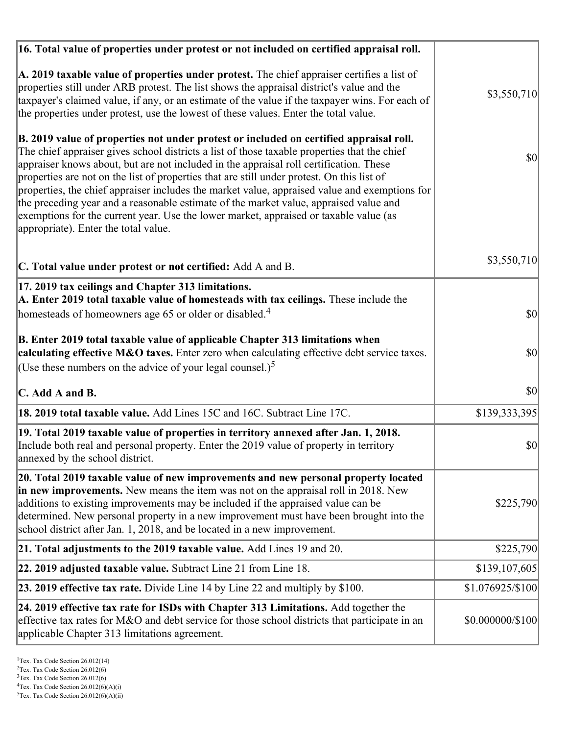| 16. Total value of properties under protest or not included on certified appraisal roll.                                                                                                                                                                                                                                                                                                                                                                                                                                                                                                                                                                                                                  |                  |
|-----------------------------------------------------------------------------------------------------------------------------------------------------------------------------------------------------------------------------------------------------------------------------------------------------------------------------------------------------------------------------------------------------------------------------------------------------------------------------------------------------------------------------------------------------------------------------------------------------------------------------------------------------------------------------------------------------------|------------------|
| A. 2019 taxable value of properties under protest. The chief appraiser certifies a list of<br>properties still under ARB protest. The list shows the appraisal district's value and the<br>taxpayer's claimed value, if any, or an estimate of the value if the taxpayer wins. For each of<br>the properties under protest, use the lowest of these values. Enter the total value.                                                                                                                                                                                                                                                                                                                        | \$3,550,710      |
| B. 2019 value of properties not under protest or included on certified appraisal roll.<br>The chief appraiser gives school districts a list of those taxable properties that the chief<br>appraiser knows about, but are not included in the appraisal roll certification. These<br>properties are not on the list of properties that are still under protest. On this list of<br>properties, the chief appraiser includes the market value, appraised value and exemptions for<br>the preceding year and a reasonable estimate of the market value, appraised value and<br>exemptions for the current year. Use the lower market, appraised or taxable value (as<br>appropriate). Enter the total value. | 30               |
| C. Total value under protest or not certified: Add A and B.                                                                                                                                                                                                                                                                                                                                                                                                                                                                                                                                                                                                                                               | \$3,550,710      |
| 17. 2019 tax ceilings and Chapter 313 limitations.<br>A. Enter 2019 total taxable value of homesteads with tax ceilings. These include the<br>homesteads of homeowners age 65 or older or disabled. <sup>4</sup>                                                                                                                                                                                                                                                                                                                                                                                                                                                                                          | $ 10\rangle$     |
| B. Enter 2019 total taxable value of applicable Chapter 313 limitations when<br>calculating effective M&O taxes. Enter zero when calculating effective debt service taxes.<br>(Use these numbers on the advice of your legal counsel.) <sup>5</sup>                                                                                                                                                                                                                                                                                                                                                                                                                                                       | \$0              |
| C. Add A and B.                                                                                                                                                                                                                                                                                                                                                                                                                                                                                                                                                                                                                                                                                           | 30               |
| 18. 2019 total taxable value. Add Lines 15C and 16C. Subtract Line 17C.                                                                                                                                                                                                                                                                                                                                                                                                                                                                                                                                                                                                                                   | \$139,333,395    |
| 19. Total 2019 taxable value of properties in territory annexed after Jan. 1, 2018.<br>Include both real and personal property. Enter the 2019 value of property in territory<br>annexed by the school district.                                                                                                                                                                                                                                                                                                                                                                                                                                                                                          | \$0              |
| 20. Total 2019 taxable value of new improvements and new personal property located<br>in new improvements. New means the item was not on the appraisal roll in 2018. New<br>additions to existing improvements may be included if the appraised value can be<br>determined. New personal property in a new improvement must have been brought into the<br>school district after Jan. 1, 2018, and be located in a new improvement.                                                                                                                                                                                                                                                                        | \$225,790        |
| 21. Total adjustments to the 2019 taxable value. Add Lines 19 and 20.                                                                                                                                                                                                                                                                                                                                                                                                                                                                                                                                                                                                                                     | \$225,790        |
| 22. 2019 adjusted taxable value. Subtract Line 21 from Line 18.                                                                                                                                                                                                                                                                                                                                                                                                                                                                                                                                                                                                                                           | \$139,107,605    |
| 23. 2019 effective tax rate. Divide Line 14 by Line 22 and multiply by \$100.                                                                                                                                                                                                                                                                                                                                                                                                                                                                                                                                                                                                                             | \$1.076925/\$100 |
| 24. 2019 effective tax rate for ISDs with Chapter 313 Limitations. Add together the<br>effective tax rates for M&O and debt service for those school districts that participate in an<br>applicable Chapter 313 limitations agreement.                                                                                                                                                                                                                                                                                                                                                                                                                                                                    | \$0.000000/\$100 |

<sup>&</sup>lt;sup>1</sup>Tex. Tax Code Section 26.012(14)

 $2$ Tex. Tax Code Section 26.012(6)

<sup>&</sup>lt;sup>3</sup>Tex. Tax Code Section 26.012(6)

 ${}^{4}$ Tex. Tax Code Section 26.012(6)(A)(i)

 $5$ Tex. Tax Code Section 26.012(6)(A)(ii)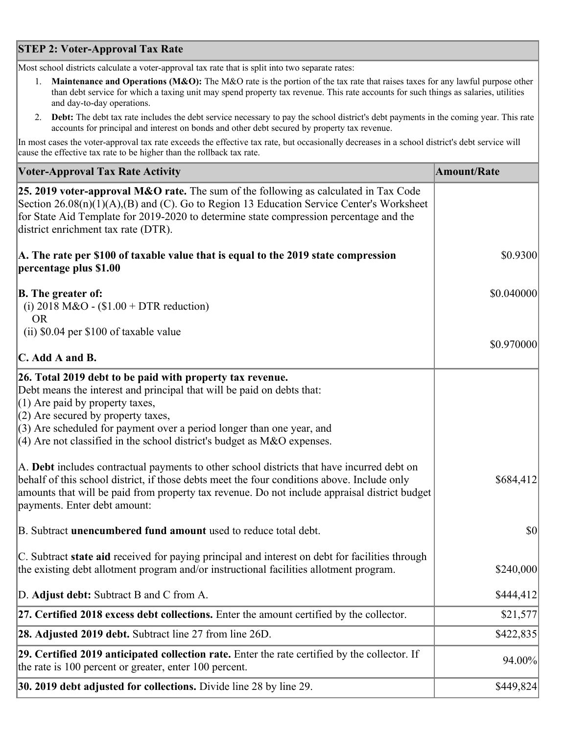## **STEP 2: Voter-Approval Tax Rate**

Most school districts calculate a voter-approval tax rate that is split into two separate rates:

- 1. **Maintenance and Operations (M&O):** The M&O rate is the portion of the tax rate that raises taxes for any lawful purpose other than debt service for which a taxing unit may spend property tax revenue. This rate accounts for such things as salaries, utilities and day-to-day operations.
- 2. **Debt:** The debt tax rate includes the debt service necessary to pay the school district's debt payments in the coming year. This rate accounts for principal and interest on bonds and other debt secured by property tax revenue.

In most cases the voter-approval tax rate exceeds the effective tax rate, but occasionally decreases in a school district's debt service will cause the effective tax rate to be higher than the rollback tax rate.

| <b>Voter-Approval Tax Rate Activity</b>                                                                                                                                                                                                                                                                                                                                  | <b>Amount/Rate</b> |
|--------------------------------------------------------------------------------------------------------------------------------------------------------------------------------------------------------------------------------------------------------------------------------------------------------------------------------------------------------------------------|--------------------|
| 25. 2019 voter-approval M&O rate. The sum of the following as calculated in Tax Code<br>Section 26.08(n)(1)(A),(B) and (C). Go to Region 13 Education Service Center's Worksheet<br>for State Aid Template for 2019-2020 to determine state compression percentage and the<br>district enrichment tax rate (DTR).                                                        |                    |
| A. The rate per \$100 of taxable value that is equal to the 2019 state compression<br>percentage plus \$1.00                                                                                                                                                                                                                                                             | \$0.9300           |
| <b>B.</b> The greater of:<br>(i) 2018 M&O - $$1.00 + DTR$ reduction)<br><b>OR</b>                                                                                                                                                                                                                                                                                        | \$0.040000         |
| (ii) \$0.04 per \$100 of taxable value                                                                                                                                                                                                                                                                                                                                   | \$0.970000         |
| $\mathbf C$ . Add A and B.                                                                                                                                                                                                                                                                                                                                               |                    |
| 26. Total 2019 debt to be paid with property tax revenue.<br>Debt means the interest and principal that will be paid on debts that:<br>$(1)$ Are paid by property taxes,<br>$(2)$ Are secured by property taxes,<br>$(3)$ Are scheduled for payment over a period longer than one year, and<br>$(4)$ Are not classified in the school district's budget as M&O expenses. |                    |
| A. Debt includes contractual payments to other school districts that have incurred debt on<br>behalf of this school district, if those debts meet the four conditions above. Include only<br>amounts that will be paid from property tax revenue. Do not include appraisal district budget<br>payments. Enter debt amount:                                               | \$684,412          |
| B. Subtract unencumbered fund amount used to reduce total debt.                                                                                                                                                                                                                                                                                                          | $ 10\rangle$       |
| C. Subtract state aid received for paying principal and interest on debt for facilities through<br>the existing debt allotment program and/or instructional facilities allotment program.                                                                                                                                                                                | \$240,000          |
| D. Adjust debt: Subtract B and C from A.                                                                                                                                                                                                                                                                                                                                 | \$444,412          |
| 27. Certified 2018 excess debt collections. Enter the amount certified by the collector.                                                                                                                                                                                                                                                                                 | \$21,577           |
| <b>28. Adjusted 2019 debt.</b> Subtract line 27 from line 26D.                                                                                                                                                                                                                                                                                                           | \$422,835          |
| 29. Certified 2019 anticipated collection rate. Enter the rate certified by the collector. If<br>the rate is 100 percent or greater, enter 100 percent.                                                                                                                                                                                                                  | 94.00%             |
| 30. 2019 debt adjusted for collections. Divide line 28 by line 29.                                                                                                                                                                                                                                                                                                       | \$449,824          |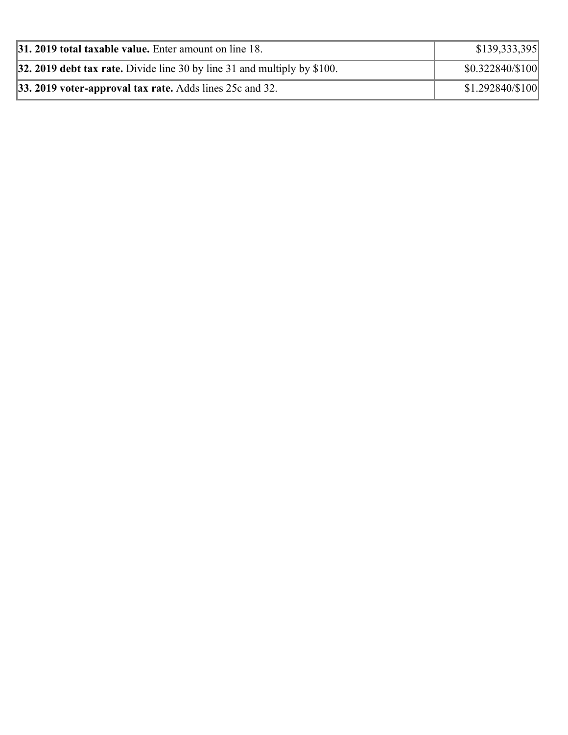| <b>31. 2019 total taxable value.</b> Enter amount on line 18.                   | \$139,333,395     |
|---------------------------------------------------------------------------------|-------------------|
| <b>32. 2019 debt tax rate.</b> Divide line 30 by line 31 and multiply by \$100. | \$0.322840/\$100  |
| 33. 2019 voter-approval tax rate. Adds lines 25c and 32.                        | $$1.292840/\$100$ |